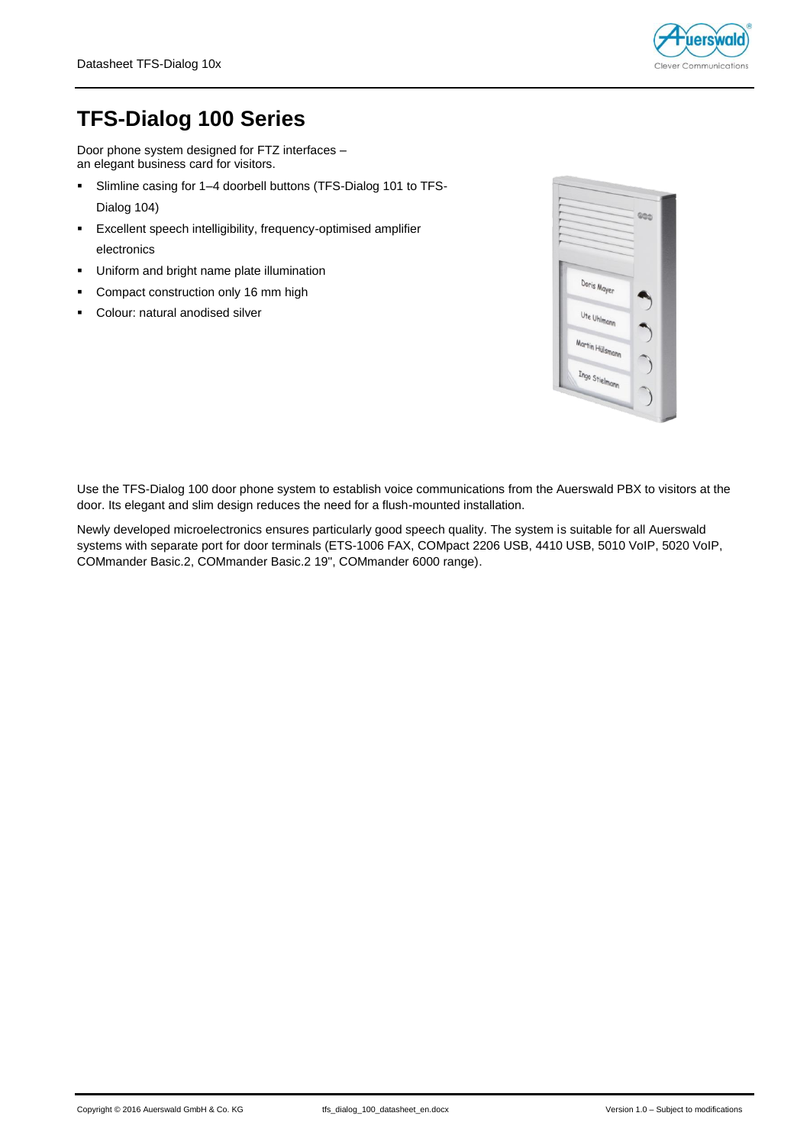

# **TFS-Dialog 100 Series**

Door phone system designed for FTZ interfaces – an elegant business card for visitors.

- Slimline casing for 1–4 doorbell buttons (TFS-Dialog 101 to TFS-Dialog 104)
- Excellent speech intelligibility, frequency-optimised amplifier electronics
- Uniform and bright name plate illumination
- **Compact construction only 16 mm high**
- Colour: natural anodised silver



Use the TFS-Dialog 100 door phone system to establish voice communications from the Auerswald PBX to visitors at the door. Its elegant and slim design reduces the need for a flush-mounted installation.

Newly developed microelectronics ensures particularly good speech quality. The system is suitable for all Auerswald systems with separate port for door terminals (ETS-1006 FAX, COMpact 2206 USB, 4410 USB, 5010 VoIP, 5020 VoIP, COMmander Basic.2, COMmander Basic.2 19", COMmander 6000 range).